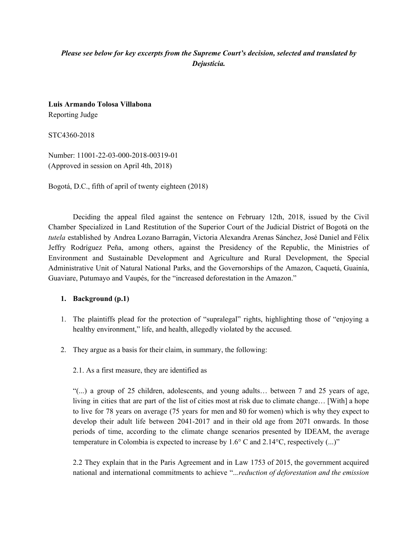# *Please see below for key excerpts from the Supreme Court's decision, selected and translated by Dejusticia.*

**Luis Armando Tolosa Villabona** Reporting Judge

STC4360-2018

Number: 11001-22-03-000-2018-00319-01 (Approved in session on April 4th, 2018)

Bogotá, D.C., fifth of april of twenty eighteen (2018)

Deciding the appeal filed against the sentence on February 12th, 2018, issued by the Civil Chamber Specialized in Land Restitution of the Superior Court of the Judicial District of Bogotá on the *tutela* established by Andrea Lozano Barragán, Victoria Alexandra Arenas Sánchez, José Daniel and Félix Jeffry Rodríguez Peña, among others, against the Presidency of the Republic, the Ministries of Environment and Sustainable Development and Agriculture and Rural Development, the Special Administrative Unit of Natural National Parks, and the Governorships of the Amazon, Caquetá, Guainía, Guaviare, Putumayo and Vaupés, for the "increased deforestation in the Amazon."

#### **1. Background (p.1)**

- 1. The plaintiffs plead for the protection of "supralegal" rights, highlighting those of "enjoying a healthy environment," life, and health, allegedly violated by the accused.
- 2. They argue as a basis for their claim, in summary, the following:

#### 2.1. As a first measure, they are identified as

 $\lq$ "(...) a group of 25 children, adolescents, and young adults... between 7 and 25 years of age, living in cities that are part of the list of cities most at risk due to climate change… [With] a hope to live for 78 years on average (75 years for men and 80 for women) which is why they expect to develop their adult life between 2041-2017 and in their old age from 2071 onwards. In those periods of time, according to the climate change scenarios presented by IDEAM, the average temperature in Colombia is expected to increase by 1.6° C and 2.14°C, respectively (...)"

2.2 They explain that in the Paris Agreement and in Law 1753 of 2015, the government acquired national and international commitments to achieve "..*.reduction of deforestation and the emission*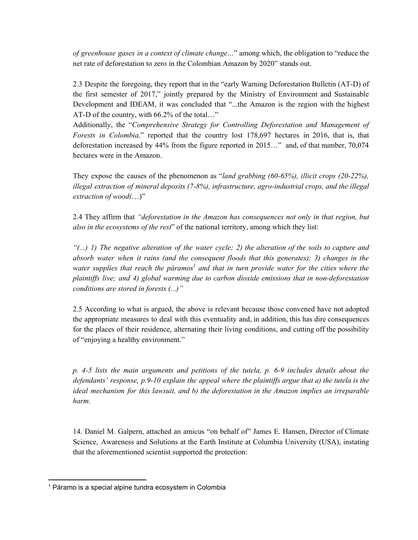*of greenhouse gases in a context of climate change…*" among which, the obligation to "reduce the net rate of deforestation to zero in the Colombian Amazon by 2020" stands out.

2.3 Despite the foregoing, they report that in the "early Warning Deforestation Bulletin (AT-D) of the first semester of 2017," jointly prepared by the Ministry of Environment and Sustainable Development and IDEAM, it was concluded that "...the Amazon is the region with the highest AT-D of the country, with 66.2% of the total…"

Additionally, the "*Comprehensive Strategy for Controlling Deforestation and Management of Forests in Colombia,*" reported that the country lost 178,697 hectares in 2016, that is, that deforestation increased by 44% from the figure reported in 2015…" and, of that number, 70,074 hectares were in the Amazon.

They expose the causes of the phenomenon as "*land grabbing (60-65%), illicit crops (20-22%), illegal extraction of mineral deposits (7-8%), infrastructure, agro-industrial crops, and the illegal extraction of wood(*…)"

2.4 They affirm that *"deforestation in the Amazon has consequences not only in that region, but also in the ecosystems of the rest*" of the national territory, among which they list:

"(...) I) The negative alteration of the water cycle; 2) the alteration of the soils to capture and *absorb water when it rains (and the consequent floods that this generates); 3) changes in the water supplies that reach the páramos and that in turn provide water for the cities where the 1 plaintif s live; and 4) global warming due to carbon dioxide emissions that in non-deforestation conditions are stored in forests (...)"*

2.5 According to what is argued, the above is relevant because those convened have not adopted the appropriate measures to deal with this eventuality and, in addition, this has dire consequences for the places of their residence, alternating their living conditions, and cutting off the possibility of "enjoying a healthy environment."

*p. 4-5 lists the main arguments and petitions of the tutela, p. 6-9 includes details about the defendants' response, p.9-10 explain the appeal where the plaintif s argue that a) the tutela is the ideal mechanism for this lawsuit, and b) the deforestation in the Amazon implies an irreparable harm.*

14. Daniel M. Galpern, attached an amicus "on behalf of" James E. Hansen, Director of Climate Science, Awareness and Solutions at the Earth Institute at Columbia University (USA), instating that the aforementioned scientist supported the protection:

<sup>1</sup> Páramo is a special alpine tundra ecosystem in Colombia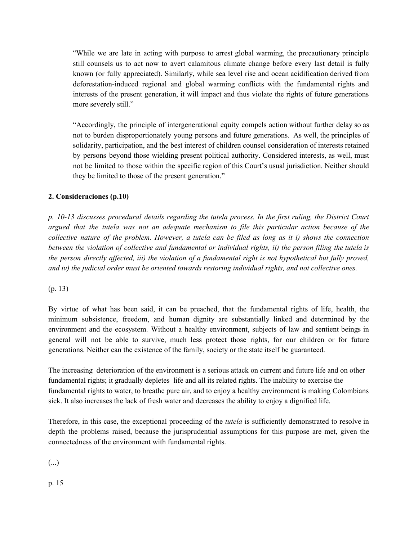"While we are late in acting with purpose to arrest global warming, the precautionary principle still counsels us to act now to avert calamitous climate change before every last detail is fully known (or fully appreciated). Similarly, while sea level rise and ocean acidification derived from deforestation-induced regional and global warming conflicts with the fundamental rights and interests of the present generation, it will impact and thus violate the rights of future generations more severely still."

"Accordingly, the principle of intergenerational equity compels action without further delay so as not to burden disproportionately young persons and future generations. As well, the principles of solidarity, participation, and the best interest of children counsel consideration of interests retained by persons beyond those wielding present political authority. Considered interests, as well, must not be limited to those within the specific region of this Court's usual jurisdiction. Neither should they be limited to those of the present generation."

## **2. Consideraciones (p.10)**

*p. 10-13 discusses procedural details regarding the tutela process. In the first ruling, the District Court argued that the tutela was not an adequate mechanism to file this particular action because of the* collective nature of the problem. However, a tutela can be filed as long as it i) shows the connection between the violation of collective and fundamental or individual rights, ii) the person filing the tutela is the person directly affected, iii) the violation of a fundamental right is not hypothetical but fully proved, *and iv) the judicial order must be oriented towards restoring individual rights, and not collective ones.*

(p. 13)

By virtue of what has been said, it can be preached, that the fundamental rights of life, health, the minimum subsistence, freedom, and human dignity are substantially linked and determined by the environment and the ecosystem. Without a healthy environment, subjects of law and sentient beings in general will not be able to survive, much less protect those rights, for our children or for future generations. Neither can the existence of the family, society or the state itself be guaranteed.

The increasing deterioration of the environment is a serious attack on current and future life and on other fundamental rights; it gradually depletes life and all its related rights. The inability to exercise the fundamental rights to water, to breathe pure air, and to enjoy a healthy environment is making Colombians sick. It also increases the lack of fresh water and decreases the ability to enjoy a dignified life.

Therefore, in this case, the exceptional proceeding of the *tutela* is sufficiently demonstrated to resolve in depth the problems raised, because the jurisprudential assumptions for this purpose are met, given the connectedness of the environment with fundamental rights.

(...)

p. 15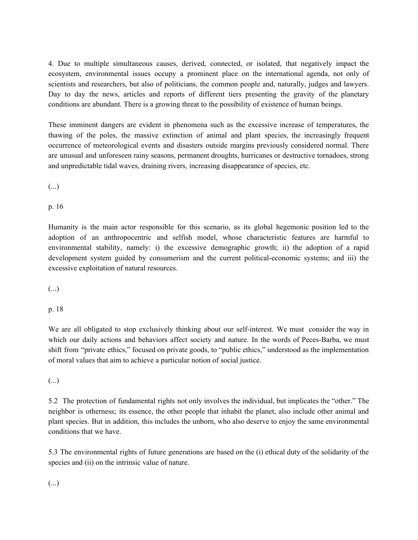4. Due to multiple simultaneous causes, derived, connected, or isolated, that negatively impact the ecosystem, environmental issues occupy a prominent place on the international agenda, not only of scientists and researchers, but also of politicians, the common people and, naturally, judges and lawyers. Day to day the news, articles and reports of different tiers presenting the gravity of the planetary conditions are abundant. There is a growing threat to the possibility of existence of human beings.

These imminent dangers are evident in phenomena such as the excessive increase of temperatures, the thawing of the poles, the massive extinction of animal and plant species, the increasingly frequent occurrence of meteorological events and disasters outside margins previously considered normal. There are unusual and unforeseen rainy seasons, permanent droughts, hurricanes or destructive tornadoes, strong and unpredictable tidal waves, draining rivers, increasing disappearance of species, etc.

(...)

p. 16

Humanity is the main actor responsible for this scenario, as its global hegemonic position led to the adoption of an anthropocentric and selfish model, whose characteristic features are harmful to environmental stability, namely: i) the excessive demographic growth; ii) the adoption of a rapid development system guided by consumerism and the current political-economic systems; and iii) the excessive exploitation of natural resources.

(...)

p. 18

We are all obligated to stop exclusively thinking about our self-interest. We must consider the way in which our daily actions and behaviors affect society and nature. In the words of Peces-Barba, we must shift from "private ethics," focused on private goods, to "public ethics," understood as the implementation of moral values that aim to achieve a particular notion of social justice.

(...)

5.2 The protection of fundamental rights not only involves the individual, but implicates the "other." The neighbor is otherness; its essence, the other people that inhabit the planet, also include other animal and plant species. But in addition, this includes the unborn, who also deserve to enjoy the same environmental conditions that we have.

5.3 The environmental rights of future generations are based on the (i) ethical duty of the solidarity of the species and (ii) on the intrinsic value of nature.

(...)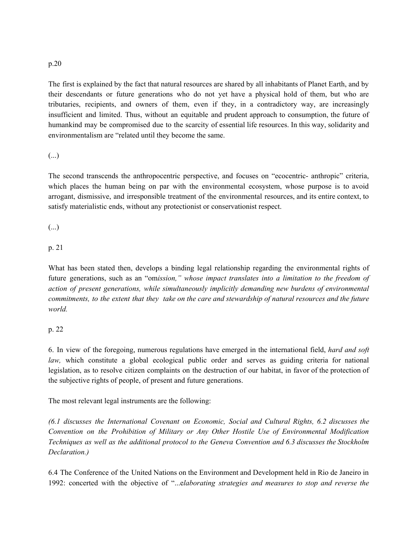#### p.20

The first is explained by the fact that natural resources are shared by all inhabitants of Planet Earth, and by their descendants or future generations who do not yet have a physical hold of them, but who are tributaries, recipients, and owners of them, even if they, in a contradictory way, are increasingly insufficient and limited. Thus, without an equitable and prudent approach to consumption, the future of humankind may be compromised due to the scarcity of essential life resources. In this way, solidarity and environmentalism are "related until they become the same.

## (...)

The second transcends the anthropocentric perspective, and focuses on "ecocentric- anthropic" criteria, which places the human being on par with the environmental ecosystem, whose purpose is to avoid arrogant, dismissive, and irresponsible treatment of the environmental resources, and its entire context, to satisfy materialistic ends, without any protectionist or conservationist respect.

(...)

## p. 21

What has been stated then, develops a binding legal relationship regarding the environmental rights of future generations, such as an "om*ission," whose impact translates into a limitation to the freedom of action of present generations, while simultaneously implicitly demanding new burdens of environmental* commitments, to the extent that they take on the care and stewardship of natural resources and the future *world.*

## p. 22

6. In view of the foregoing, numerous regulations have emerged in the international field, *hard and soft law,* which constitute a global ecological public order and serves as guiding criteria for national legislation, as to resolve citizen complaints on the destruction of our habitat, in favor of the protection of the subjective rights of people, of present and future generations.

The most relevant legal instruments are the following:

*(6.1 discusses the International Covenant on Economic, Social and Cultural Rights, 6.2 discusses the Convention on the Prohibition of Military or Any Other Hostile Use of Environmental Modification Techniques as well as the additional protocol to the Geneva Convention and 6.3 discusses the Stockholm Declaration.)*

6.4 The Conference of the United Nations on the Environment and Development held in Rio de Janeiro in 1992: concerted with the objective of "...e*laborating strategies and measures to stop and reverse the*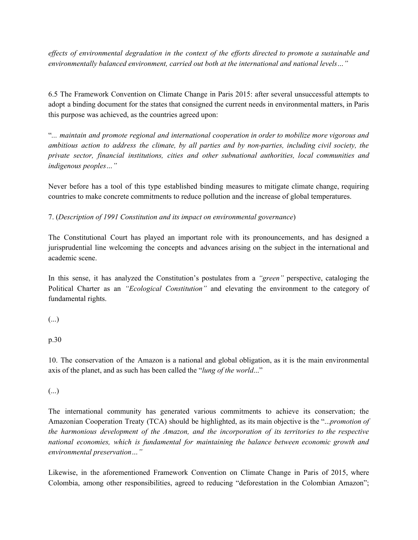effects of environmental degradation in the context of the efforts directed to promote a sustainable and *environmentally balanced environment, carried out both at the international and national levels…"*

6.5 The Framework Convention on Climate Change in Paris 2015: after several unsuccessful attempts to adopt a binding document for the states that consigned the current needs in environmental matters, in Paris this purpose was achieved, as the countries agreed upon:

"*... maintain and promote regional and international cooperation in order to mobilize more vigorous and ambitious action to address the climate, by all parties and by non-parties, including civil society, the private sector, financial institutions, cities and other subnational authorities, local communities and indigenous peoples…"*

Never before has a tool of this type established binding measures to mitigate climate change, requiring countries to make concrete commitments to reduce pollution and the increase of global temperatures.

7. (*Description of 1991 Constitution and its impact on environmental governance*)

The Constitutional Court has played an important role with its pronouncements, and has designed a jurisprudential line welcoming the concepts and advances arising on the subject in the international and academic scene.

In this sense, it has analyzed the Constitution's postulates from a *"green"* perspective, cataloging the Political Charter as an *"Ecological Constitution"* and elevating the environment to the category of fundamental rights.

(...)

p.30

10. The conservation of the Amazon is a national and global obligation, as it is the main environmental axis of the planet, and as such has been called the "*lung of the world*..."

(...)

The international community has generated various commitments to achieve its conservation; the Amazonian Cooperation Treaty (TCA) should be highlighted, as its main objective is the "...*promotion of the harmonious development of the Amazon, and the incorporation of its territories to the respective national economies, which is fundamental for maintaining the balance between economic growth and environmental preservation…"*

Likewise, in the aforementioned Framework Convention on Climate Change in Paris of 2015, where Colombia, among other responsibilities, agreed to reducing "deforestation in the Colombian Amazon";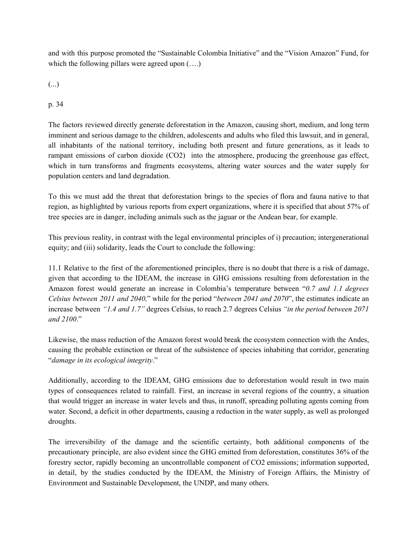and with this purpose promoted the "Sustainable Colombia Initiative" and the "Vision Amazon" Fund, for which the following pillars were agreed upon  $(\ldots)$ 

(...)

p. 34

The factors reviewed directly generate deforestation in the Amazon, causing short, medium, and long term imminent and serious damage to the children, adolescents and adults who filed this lawsuit, and in general, all inhabitants of the national territory, including both present and future generations, as it leads to rampant emissions of carbon dioxide (CO2) into the atmosphere, producing the greenhouse gas effect, which in turn transforms and fragments ecosystems, altering water sources and the water supply for population centers and land degradation.

To this we must add the threat that deforestation brings to the species of flora and fauna native to that region, as highlighted by various reports from expert organizations, where it is specified that about 57% of tree species are in danger, including animals such as the jaguar or the Andean bear, for example.

This previous reality, in contrast with the legal environmental principles of i) precaution; intergenerational equity; and (iii) solidarity, leads the Court to conclude the following:

11.1 Relative to the first of the aforementioned principles, there is no doubt that there is a risk of damage, given that according to the IDEAM, the increase in GHG emissions resulting from deforestation in the Amazon forest would generate an increase in Colombia's temperature between "*0.7 and 1.1 degrees Celsius between 2011 and 2040,*" while for the period "*between 2041 and 2070*", the estimates indicate an increase between *"1.4 and 1.7"* degrees Celsius, to reach 2.7 degrees Celsius *"in the period between 2071 and 2100*."

Likewise, the mass reduction of the Amazon forest would break the ecosystem connection with the Andes, causing the probable extinction or threat of the subsistence of species inhabiting that corridor, generating "*damage in its ecological integrity*."

Additionally, according to the IDEAM, GHG emissions due to deforestation would result in two main types of consequences related to rainfall. First, an increase in several regions of the country, a situation that would trigger an increase in water levels and thus, in runoff, spreading polluting agents coming from water. Second, a deficit in other departments, causing a reduction in the water supply, as well as prolonged droughts.

The irreversibility of the damage and the scientific certainty, both additional components of the precautionary principle, are also evident since the GHG emitted from deforestation, constitutes 36% of the forestry sector, rapidly becoming an uncontrollable component of CO2 emissions; information supported, in detail, by the studies conducted by the IDEAM, the Ministry of Foreign Affairs, the Ministry of Environment and Sustainable Development, the UNDP, and many others.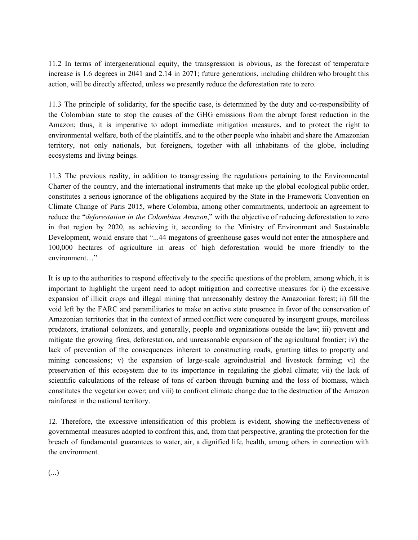11.2 In terms of intergenerational equity, the transgression is obvious, as the forecast of temperature increase is 1.6 degrees in 2041 and 2.14 in 2071; future generations, including children who brought this action, will be directly affected, unless we presently reduce the deforestation rate to zero.

11.3 The principle of solidarity, for the specific case, is determined by the duty and co-responsibility of the Colombian state to stop the causes of the GHG emissions from the abrupt forest reduction in the Amazon; thus, it is imperative to adopt immediate mitigation measures, and to protect the right to environmental welfare, both of the plaintiffs, and to the other people who inhabit and share the Amazonian territory, not only nationals, but foreigners, together with all inhabitants of the globe, including ecosystems and living beings.

11.3 The previous reality, in addition to transgressing the regulations pertaining to the Environmental Charter of the country, and the international instruments that make up the global ecological public order, constitutes a serious ignorance of the obligations acquired by the State in the Framework Convention on Climate Change of Paris 2015, where Colombia, among other commitments, undertook an agreement to reduce the "*deforestation in the Colombian Amazon*," with the objective of reducing deforestation to zero in that region by 2020, as achieving it, according to the Ministry of Environment and Sustainable Development, would ensure that "...44 megatons of greenhouse gases would not enter the atmosphere and 100,000 hectares of agriculture in areas of high deforestation would be more friendly to the environment…"

It is up to the authorities to respond effectively to the specific questions of the problem, among which, it is important to highlight the urgent need to adopt mitigation and corrective measures for i) the excessive expansion of illicit crops and illegal mining that unreasonably destroy the Amazonian forest; ii) fill the void left by the FARC and paramilitaries to make an active state presence in favor of the conservation of Amazonian territories that in the context of armed conflict were conquered by insurgent groups, merciless predators, irrational colonizers, and generally, people and organizations outside the law; iii) prevent and mitigate the growing fires, deforestation, and unreasonable expansion of the agricultural frontier; iv) the lack of prevention of the consequences inherent to constructing roads, granting titles to property and mining concessions; v) the expansion of large-scale agroindustrial and livestock farming; vi) the preservation of this ecosystem due to its importance in regulating the global climate; vii) the lack of scientific calculations of the release of tons of carbon through burning and the loss of biomass, which constitutes the vegetation cover; and viii) to confront climate change due to the destruction of the Amazon rainforest in the national territory.

12. Therefore, the excessive intensification of this problem is evident, showing the ineffectiveness of governmental measures adopted to confront this, and, from that perspective, granting the protection for the breach of fundamental guarantees to water, air, a dignified life, health, among others in connection with the environment.

(...)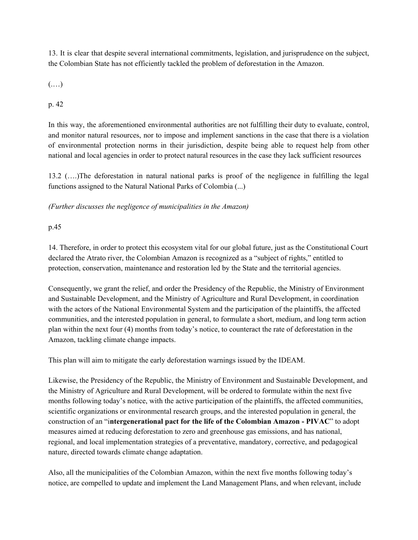13. It is clear that despite several international commitments, legislation, and jurisprudence on the subject, the Colombian State has not efficiently tackled the problem of deforestation in the Amazon.

(.…)

p. 42

In this way, the aforementioned environmental authorities are not fulfilling their duty to evaluate, control, and monitor natural resources, nor to impose and implement sanctions in the case that there is a violation of environmental protection norms in their jurisdiction, despite being able to request help from other national and local agencies in order to protect natural resources in the case they lack sufficient resources

13.2 (….)The deforestation in natural national parks is proof of the negligence in fulfilling the legal functions assigned to the Natural National Parks of Colombia (...)

# *(Further discusses the negligence of municipalities in the Amazon)*

p.45

14. Therefore, in order to protect this ecosystem vital for our global future, just as the Constitutional Court declared the Atrato river, the Colombian Amazon is recognized as a "subject of rights," entitled to protection, conservation, maintenance and restoration led by the State and the territorial agencies.

Consequently, we grant the relief, and order the Presidency of the Republic, the Ministry of Environment and Sustainable Development, and the Ministry of Agriculture and Rural Development, in coordination with the actors of the National Environmental System and the participation of the plaintiffs, the affected communities, and the interested population in general, to formulate a short, medium, and long term action plan within the next four (4) months from today's notice, to counteract the rate of deforestation in the Amazon, tackling climate change impacts.

This plan will aim to mitigate the early deforestation warnings issued by the IDEAM.

Likewise, the Presidency of the Republic, the Ministry of Environment and Sustainable Development, and the Ministry of Agriculture and Rural Development, will be ordered to formulate within the next five months following today's notice, with the active participation of the plaintiffs, the affected communities, scientific organizations or environmental research groups, and the interested population in general, the construction of an "i**ntergenerational pact for the life of the Colombian Amazon - PIVAC**" to adopt measures aimed at reducing deforestation to zero and greenhouse gas emissions, and has national, regional, and local implementation strategies of a preventative, mandatory, corrective, and pedagogical nature, directed towards climate change adaptation.

Also, all the municipalities of the Colombian Amazon, within the next five months following today's notice, are compelled to update and implement the Land Management Plans, and when relevant, include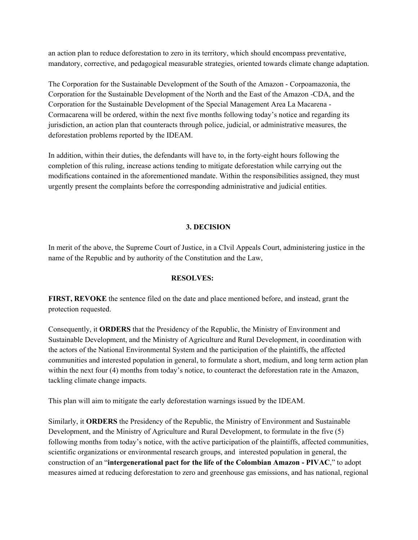an action plan to reduce deforestation to zero in its territory, which should encompass preventative, mandatory, corrective, and pedagogical measurable strategies, oriented towards climate change adaptation.

The Corporation for the Sustainable Development of the South of the Amazon - Corpoamazonia, the Corporation for the Sustainable Development of the North and the East of the Amazon -CDA, and the Corporation for the Sustainable Development of the Special Management Area La Macarena - Cormacarena will be ordered, within the next five months following today's notice and regarding its jurisdiction, an action plan that counteracts through police, judicial, or administrative measures, the deforestation problems reported by the IDEAM.

In addition, within their duties, the defendants will have to, in the forty-eight hours following the completion of this ruling, increase actions tending to mitigate deforestation while carrying out the modifications contained in the aforementioned mandate. Within the responsibilities assigned, they must urgently present the complaints before the corresponding administrative and judicial entities.

## **3. DECISION**

In merit of the above, the Supreme Court of Justice, in a CIvil Appeals Court, administering justice in the name of the Republic and by authority of the Constitution and the Law,

## **RESOLVES:**

**FIRST, REVOKE** the sentence filed on the date and place mentioned before, and instead, grant the protection requested.

Consequently, it **ORDERS** that the Presidency of the Republic, the Ministry of Environment and Sustainable Development, and the Ministry of Agriculture and Rural Development, in coordination with the actors of the National Environmental System and the participation of the plaintiffs, the affected communities and interested population in general, to formulate a short, medium, and long term action plan within the next four (4) months from today's notice, to counteract the deforestation rate in the Amazon, tackling climate change impacts.

This plan will aim to mitigate the early deforestation warnings issued by the IDEAM.

Similarly, it **ORDERS** the Presidency of the Republic, the Ministry of Environment and Sustainable Development, and the Ministry of Agriculture and Rural Development, to formulate in the five (5) following months from today's notice, with the active participation of the plaintiffs, affected communities, scientific organizations or environmental research groups, and interested population in general, the construction of an "**intergenerational pact for the life of the Colombian Amazon - PIVAC**," to adopt measures aimed at reducing deforestation to zero and greenhouse gas emissions, and has national, regional